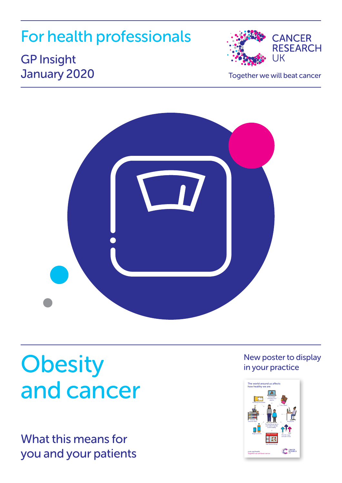## For health professionals

## **CANCER RESEARCH TIK**

## GP Insight January 2020

Together we will beat cancer



## **Obesity** and cancer

What this means for you and your patients

#### New poster to display in your practice

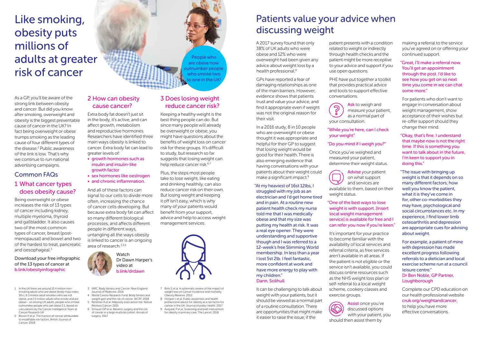## Like smoking, obesity puts millions of adults at greater risk of cancer

As a GP, you'll be aware of the strong link between obesity and cancer. But did you know after smoking, overweight and obesity is the biggest preventable cause of cancer in the UK? In fact being overweight or obese trumps smoking as the leading cause of four different types of the disease.[2](#page-1-0) Public awareness of the link is low. That's why we continue to run national advertising campaigns.

#### Common FAQs

#### 1 What cancer types does obesity cause?

Being overweight or obese increases the risk of 13 types of cancer including kidney, multiple myeloma, thyroid and gallbladder. It also causes two of the most common types of cancer, breast (postmenopausal) and bowel and two of the hardest to treat, pancreatic and oesophageal $3$ 

Download your free infographic of the 13 types of cancer at [b.link/obesityinfographic](http://b.link/obesityinfographic)

- <span id="page-1-8"></span>1 In the UK there are around 13.4 million nonsmoking adults who are obese (body mass index 30+), 6.3 million adult smokers who are not obese, and 1.5 million adults who smoke and are obese – so among UK adults, people who smoke outnumber people who are obese 2:1, based on calculations by the Cancer Intelligence Team at Cancer Research UK
- <span id="page-1-0"></span>2 Brown K et al. The fraction of cancer attributable to modifiable risk factors. British Journal of Cancer. 2018

### 2 How can obesity cause cancer?

Extra body fat doesn't just sit in the body, it's active, and can affect growth, metabolism and reproductive hormones. Researchers have identified three main ways obesity is linked to cancer. Extra body fat can lead to greater levels of:

- growth hormones such as insulin and insulin-like growth factor
- sex hormones like oestrogen • and chronic inflammation.

And all of these factors can signal to our cells to divide more often, increasing the chance of cancer cells developing. But because extra body fat can affect so many different biological processes, and affects different people in different ways, untangling all the ways obesity is linked to cancer is an ongoing area of research[.3,](#page-1-1)[4,](#page-1-2)[5](#page-1-3)

> Watch Dr Dawn Harper's video at [b.link/drdawn](http://b.link/drdawn)

- <span id="page-1-1"></span>3 IARC. Body fatness and Cancer. New England Journal of Medicine. 2016 4 World Cancer Research Fund. Body fatness and
- <span id="page-1-2"></span>weight gain and the risk of cancer. WCRF. 2018 5 Renehan A et al. Adiposity and cancer risk. Nature
- <span id="page-1-4"></span><span id="page-1-3"></span>Reviews Cancer. 2015 6 Schauer DP et al. Bariatric surgery and the risk of cancer in a large multisite cohort. Annals of surgery. 2017



People who are obese now outnumber people who smoke two to one in the UK $^{\rm 1}$  $^{\rm 1}$  $^{\rm 1}$ 

Keeping a healthy weight is the best thing people can do. But since many people will already be overweight or obese, you might have questions about the benefits of weight loss on cancer risk for these groups. It's difficult to study, but research so far suggests that losing weight can help reduce cancer risk.<sup>6[,7](#page-1-5)</sup>

Plus, the steps most people take to lose weight, like eating and drinking healthily, can also reduce cancer risk on their own. But losing weight and keeping it off isn't easy, which is why many of your patients would benefit from your support, advice and help to access weight management services.



- <span id="page-1-5"></span>7 Birks S et al. A systematic review of the impact of weight loss on cancer incidence and mortality. Obesity Reviews. 2012
- <span id="page-1-6"></span>8 Hooper L et al. Public awareness and health professional advice for obesity as a risk factor for cancer in the UK. Journal of public health. 2017
- <span id="page-1-7"></span>9 Aveyard, P et al. Screening and brief intervention for obesity in primary care. The Lancet. 2016

## Patients value your advice when discussing weight

A 2017 survey found that only 38% of UK adults who were obese and 12% who were overweight had been given any advice about weight loss by a health professional.<sup>[8](#page-1-6)</sup>

GPs have reported a fear of damaging relationships as one of the main barriers. However, evidence shows that patients trust and value your advice, and find it appropriate even if weight was not the original reason for their visit.

In a 2016 study, 8 in 10 people who are overweight or obese thought it was appropriate and helpful for their GP to suggest that losing weight would be good for their health.There is also emerging evidence that having conversations with your patients about their weight could make a significant impact.<sup>9</sup>

"At my heaviest of 16st 12lbs, I struggled with my job as an electrician and I'd get home tired and in pain. At a routine new patient health check my nurse told me that I was medically obese and that my size was putting my health at risk. It was a real eye opener. They were understanding and supportive though and I was referred to a 12-week's free Slimming World membership. In less than a year I lost 5st 2lb. I feel fantastic, more confident at work and have more energy to play with my children." Dann, Solihull

It can be challenging to talk about weight with your patients, but it should be viewed as a normal part of a routine consultation. There are opportunities that might make it easier to raise the issue; if the

patient presents with a condition related to weight or indirectly through health checks and the patient might be more receptive to your advice and support if you use open questions.

PHE have put together a toolkit that provides practical advice and tools to support effective conversations.

Ask to weigh and ි measure your patient, as a normal part of your consultation.

"While you're here, can I check your weight"

#### "Do you mind if I weigh you?"

Once you've weighed and measured your patient, determine their weight status.

Advise your patient on what support and services are available to them, based on their weight status.

#### "One of the best ways to lose weight is with support. [Insert local weight management service] is available for free and I can refer you now if you're keen."

It's important for your practice to become familiar with the availability of local services and referral criteria, as free services aren't available in all areas. If the patient is not eligible or the service isn't available, you could discuss online resources such as the NHS weight loss plan or self-referral to a local weight scheme, cookery classes and exercise groups.



making a referral to the service you've agreed on or offering your continued support.

#### "Great, I'll make a referral now. You'll get an appointment through the post. I'd like to see how you get on so next time you come in we can chat some more."

For patients who don't want to engage in conversation about weight management, show acceptance of their wishes but re-offer support should they change their mind.

"Okay, that's fine. I understand that maybe now is not the right time. If this is something you want to talk about in the future, I'm keen to support you in doing this."

"The issue with bringing up weight is that it depends on so many different factors; how well you know the patient, what it is they've come in for, other co-morbidities they may have, psychological and social circumstances etc. In my experience, I find lower limb osteoarthritis and depression are appropriate cues for advising about weight.

For example, a patient of mine with depression has made excellent progress following referrals to a dietician and local exercise scheme run at a council leisure centre." Dr Ben Noble, GP Partner, **Loughborough** 

Complete our CPD education on our health professional website [cruk.org/weightandcancer](http://cruk.org/weightandcancer),

to help you have more effective conversations.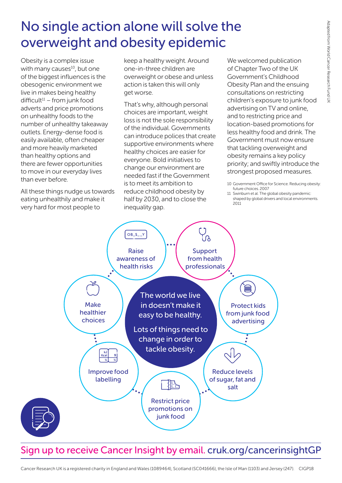## No single action alone will solve the overweight and obesity epidemic

Obesity is a complex issue with many causes<sup>10</sup>, but one of the biggest influences is the obesogenic environment we live in makes being healthy  $difficult<sup>11</sup> – from junk food$ adverts and price promotions on unhealthy foods to the number of unhealthy takeaway outlets. Energy-dense food is easily available, often cheaper and more heavily marketed than healthy options and there are fewer opportunities to move in our everyday lives than ever before.

All these things nudge us towards eating unhealthily and make it very hard for most people to

keep a healthy weight. Around one-in-three children are overweight or obese and unless action is taken this will only get worse.

That's why, although personal choices are important, weight loss is not the sole responsibility of the individual. Governments can introduce polices that create supportive environments where healthy choices are easier for everyone. Bold initiatives to change our environment are needed fast if the Government is to meet its ambition to reduce childhood obesity by half by 2030, and to close the inequality gap.

We welcomed publication of Chapter Two of the UK Government's Childhood Obesity Plan and the ensuing consultations on restricting children's exposure to junk food advertising on TV and online, and to restricting price and location-based promotions for less healthy food and drink. The Government must now ensure that tackling overweight and obesity remains a key policy priority; and swiftly introduce the strongest proposed measures.

<span id="page-2-1"></span><sup>11</sup> Swinburn et al. The global obesity pandemic: shaped by global drivers and local environments. 2011



## Sign up to receive Cancer Insight by email. [cruk.org/cancerinsightGP](http://cruk.org/cancerinsightGP)

<span id="page-2-0"></span><sup>10</sup> Government Office for Science. Reducing obesity: future choices. 2007